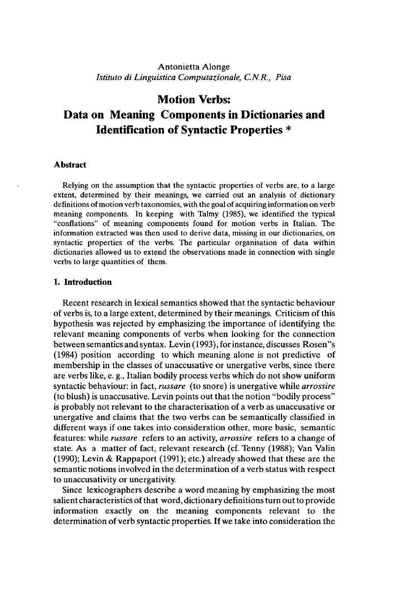## Antonietta Alonge *Istituto di Linguistica Computazionale, C.N.R., Pisa*

# **Motion Verbs: Data on Meaning Components in Dictionaries and Identification of Syntactic Properties \***

#### **Abstract**

Relying on the assumption that the syntactic properties of verbs are, to a large extent, determined by their meanings, we carried out an analysis of dictionary definitions of motion verb taxonomies, with the goal of acquiring information on verb meaning components. In keeping with Talmy (1985), we identified the typical "conflations" of meaning components found for motion verbs in Italian. The information extracted was then used to derive data, missing in our dictionaries, on syntactic properties of the verbs. The particular organisation of data within dictionaries allowed us to extend the observations made in connection with single verbs to large quantities of them.

#### **1. Introduction**

Recent research in lexical semantics showed that the syntactic behaviour of verbs is, to a large extent, determined by their meanings. Criticism of this hypothesis was rejected by emphasizing the importance of identifying the relevant meaning components of verbs when looking for the connection between semantics and syntax. Levin (1993), forinstance, discusses Rosen"s (1984) position according to which meaning alone is not predictive of membership in the classes of unaccusative or unergative verbs, since there are verbs like, e. g., Italian bodily process verbs which do not show uniform syntactic behaviour: in fact, *russare* (to snore) is unergative while *arrossire* (to blush) is unaccusative. Levin points out that the notion "bodily process" is probably not relevant to the characterisation of a verb as unaccusative or unergative and claims that the two verbs can be semantically classified in different ways if one takes into consideration other, more basic, semantic features: while *russare* refers to an activity, *arrossire* refers to a change of state. As a matter of fact, relevant research (cf. Tenny (1988); Van Valin (1990); Levin & Rappaport (1991); etc.) already showed that these are the semantic notions involved in the determination of a verb status with respect to unaccusativity or unergativity.

Since lexicographers describe a word meaning by emphasizing the most salient characteristics of that word, dictionary definitions turn out to provide information exactly on the meaning components relevant to the determination of verb syntactic properties. If we take into consideration the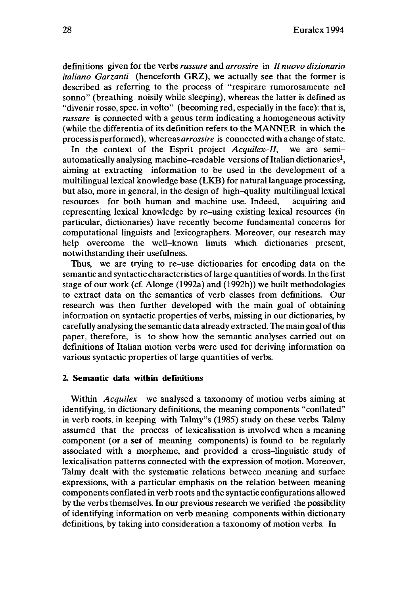definitions given for the verbs *russare* and *arrossire* in // *nuovo dizionario italiano Garzanti* (henceforth GRZ), we actually see that the former is described as referring to the process of "respirare rumorosamente nel sonno" (breathing noisily while sleeping), whereas the latter is defined as "divenir rosso, spec, in volto" (becoming red, especially in the face): that is, *russare* is connected with a genus term indicating a homogeneous activity (while the differentia of its definition refers to the MANNER in which the processis performed), whereas *arrossire* is connected with a change ofstate.

In the context of the Esprit project *Acquilex-II,* we are semiautomatically analysing machine–readable versions of Italian dictionaries<sup>1</sup> aiming at extracting information to be used in the development of a multilingual lexical knowledge base (LKB) for natural language processing, but also, more in general, in the design of high-quality multilingual lexical resources for both human and machine use. Indeed, acquiring and representing lexical knowledge by re-using existing lexical resources (in particular, dictionaries) have recently become fundamental concerns for computational linguists and lexicographers. Moreover, our research may help overcome the well-known limits which dictionaries present, notwithstanding their usefulness.

Thus, we are trying to re-use dictionaries for encoding data on the semantic and syntactic characteristics of large quantities of words. In the first stage of our work (cf. Alonge (1992a) and (1992b)) we built methodologies to extract data on the semantics of verb classes from definitions. Our research was then further developed with the main goal of obtaining information on syntactic properties of verbs, missing in our dictionaries, by carefully analysing the semantic data already extracted. The main goal ofthis paper, therefore, is to show how the semantic analyses carried out on definitions of Italian motion verbs were used for deriving information on various syntactic properties of large quantities of verbs.

## **2. Semantic data within definitions**

Within *Acquilex* we analysed a taxonomy of motion verbs aiming at identifying, in dictionary definitions, the meaning components "conflated" in verb roots, in keeping with Talmy"s (1985) study on these verbs. Talmy assumed that the process of lexicalisation is involved when a meaning component (or a **set** of meaning components) is found to be regularly associated with a morpheme, and provided a cross-linguistic study of lexicalisation patterns connected with the expression of motion. Moreover, Talmy dealt with the systematic relations between meaning and surface expressions, with a particular emphasis on the relation between meaning components conflated in verb roots and the syntactic configurations allowed by the verbs themselves. In our previous research we verified the possibility of identifying information on verb meaning components within dictionary definitions, by taking into consideration a taxonomy of motion verbs. In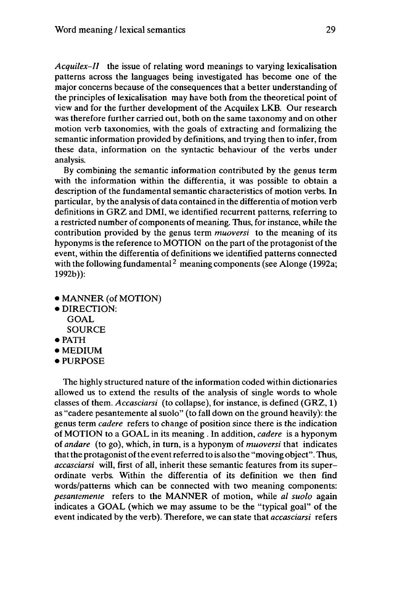*Acquilex-II* the issue of relating word meanings to varying lexicalisation patterns across the languages being investigated has become one of the major concerns because of the consequences that a better understanding of the principles of lexicalisation may have both from the theoretical point of view and for the further development of the Acquilex LKB. Our research was therefore further carried out, both on the same taxonomy and on other motion verb taxonomies, with the goals of extracting and formalizing the semantic information provided by definitions, and trying then to infer, from these data, information on the syntactic behaviour of the verbs under analysis.

By combining the semantic information contributed by the genus term with the information within the differentia, it was possible to obtain a description of the fundamental semantic characteristics of motion verbs. In particular, by the analysis of data contained in the differentia of motion verb definitions in GRZ and DMI, we identified recurrent patterns, referring to a restricted number of components of meaning. Thus, for instance, while the contribution provided by the genus term *muoversi* to the meaning of its hyponyms is the reference to MOTION on the part of the protagonist of the event, within the differentia of definitions we identified patterns connected with the following fundamental<sup>2</sup> meaning components (see Alonge (1992a; 1992b)):

- MANNER (of MOTION)
- DIRECTION: GOAL SOURCE
- PATH
- MEDIUM
- PURPOSE

The highly structured nature of the information coded within dictionaries allowed us to extend the results of the analysis of single words to whole classes of them. *Accasciarsi* (to collapse), for instance, is defined (GRZ, 1) as "cadere pesantemente al suolo" (to fall down on the ground heavily): the genus term *cadere* refers to change of position since there is the indication of MOTION to a GOAL in its meaning . In addition, *cadere* is a hyponym *oiandare* (to go), which, in turn, is a hyponym of *muoversi* that indicates that the protagonist of the event referred to is also the "moving object". Thus, *accasciarsi* will, first of all, inherit these semantic features from its superordinate verbs. Within the differentia of its definition we then find words/patterns which can be connected with two meaning components: *pesantemente* refers to the MANNER of motion, while *al suolo* again indicates a GOAL (which we may assume to be the "typical goal" of the event indicated by the verb). Therefore, we can state that *accasciarsi* refers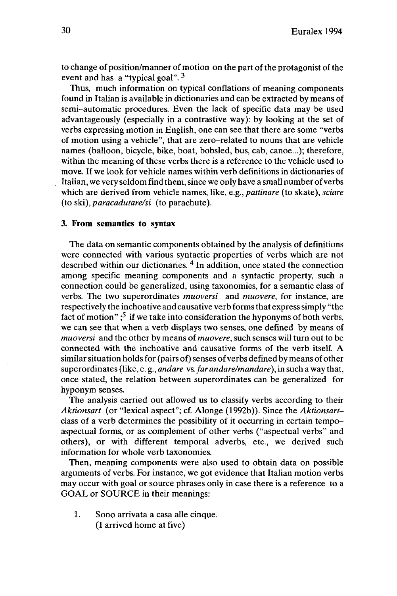to change of position/manner of motion on the part of the protagonist of the event and has a "typical goal".  $3$ 

Thus, much information on typical conflations of meaning components found in Italian is available in dictionaries and can be extracted by means of semi-automatic procedures. Even the lack of specific data may be used advantageously (especially in a contrastive way): by looking at the set of verbs expressing motion in English, one can see that there are some "verbs of motion using a vehicle", that are zero-related to nouns that are vehicle names (balloon, bicycle, bike, boat, bobsled, bus, cab, canoe...); therefore, within the meaning of these verbs there is a reference to the vehicle used to move. If we look for vehicle names within verb definitions in dictionaries of Italian, we very seldom find them, since we only have a small number of verbs which are derived from vehicle names, like, e.g., *pattinare* (to skate), *sciare* (to ski), *paracadutare/si* (to parachute).

## **3. From semantics to syntax**

The data on semantic components obtained by the analysis of definitions were connected with various syntactic properties of verbs which are not described within our dictionaries.<sup>4</sup> In addition, once stated the connection among specific meaning components and a syntactic property, such a connection could be generalized, using taxonomies, for a semantic class of verbs. The two superordinates *muoversi* and *muovere,* for instance, are respectively the inchoative and causative verb formsthat express simply "the fact of motion" ; 5 if we take into consideration the hyponyms of both verbs, we can see that when a verb displays two senses, one defined by means of *muoversi* and the other by means of*muovere,* such senses will turn out to be connected with the inchoative and causative forms of the verb itself. A similar situation holds for (pairs of) senses of verbs defined by means of other superordinates (like, e. g., *andare* vs. *farandare/mandare),* in such a way that, once stated, the relation between superordinates can be generalized for hyponym senses.

The analysis carried out allowed us to classify verbs according to their *Aktionsart* (or "lexical aspect"; cf. Alonge (1992b)). Since the *Aktionsart*class of a verb determines the possibility of it occurring in certain tempoaspectual forms, or as complement of other verbs ("aspectual verbs" and others), or with different temporal adverbs, etc., we derived such information for whole verb taxonomies.

Then, meaning components were also used to obtain data on possible arguments of verbs. For instance, we got evidence that Italian motion verbs may occur with goal or source phrases only in case there is a reference to a GOAL or SOURCE in their meanings:

1. Sono arrivata a casa alle cinque. (I arrived home at five)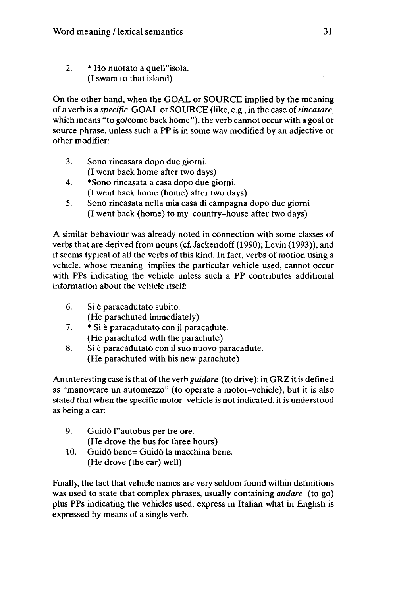2. \* Ho nuotato a quell"isola. (I swam to that island)

On the other hand, when the GOAL or SOURCE implied by the meaning of a verb is a *specific* GOAL or SOURCE (like, e.g., in the case of*rincasare,* which means "to go/come back home"), the verb cannot occur with a goal or source phrase, unless such a PP is in some way modified by an adjective or other modifier:

- 3. Sono rincasata dopo due giorni. (I went back home after two days)
- 4. \*Sono rincasata a casa dopo due giorni. (I went back home (home) after two days)
- 5. Sono rincasata nella mia casa di campagna dopo due giorni (I went back (home) to my country-house after two days)

A similar behaviour was already noted in connection with some classes of verbs that are derived from nouns (cf. Jackendoff (1990); Levin (1993)), and it seems typical of all the verbs of this kind. In fact, verbs of motion using a vehicle, whose meaning implies the particular vehicle used, cannot occur with PPs indicating the vehicle unless such a PP contributes additional information about the vehicle itself:

- 6. Si è paracadutato subito. (He parachuted immediately)
- 7. \* Si è paracadutato con il paracadute. (He parachuted with the parachute)
- 8. Si è paracadutato con il suo nuovo paracadute. (He parachuted with his new parachute)

An interesting case is that of the verb *guidare* (to drive): in GRZ it is defined as "manovrare un automezzo" (to operate a motor-vehicle), but it is also stated that when the specific motor-vehicle is not indicated, it is understood as being a car:

- 9. Guidò l''autobus per tre ore. (He drove the bus for three hours)
- 10. Guido bene= Guido la macchina bene. (He drove (the car) well)

Finally, the fact that vehicle names are very seldom found within definitions was used to state that complex phrases, usually containing *andare* (to go) plus PPs indicating the vehicles used, express in Italian what in English is expressed by means of a single verb.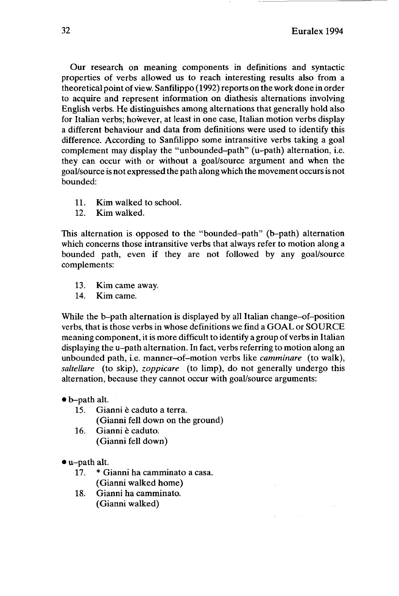32 Euralex 1994

Our research on meaning components in definitions and syntactic properties of verbs allowed us to reach interesting results also from a theoretical point of view. Sanfilippo (1992) reports on the work done in order to acquire and represent information on diathesis alternations involving English verbs. He distinguishes among alternations that generally hold also for Italian verbs; however, at least in one case, Italian motion verbs display a different behaviour and data from definitions were used to identify this difference. According to Sanfilippo some intransitive verbs taking a goal complement may display the "unbounded-path" (u-path) alternation, i.e. they can occur with or without a goal/source argument and when the goal/source is not expressed the path along which the movement occursis not bounded:

- 11. Kim walked to school.
- 12. Kim walked.

This alternation is opposed to the "bounded-path" (b-path) alternation which concerns those intransitive verbs that always refer to motion along a bounded path, even if they are not followed by any goal/source complements:

- 13. Kim came away.
- 14. Kim came.

While the b-path alternation is displayed by all Italian change-of-position verbs, that is those verbs in whose definitions we find a GOAL or SOURCE meaning component, it is more difficult to identify a group of verbs in Italian displaying the u-path alternation. In fact, verbs referring to motion along an unbounded path, i.e. manner-of-motion verbs like *camminare* (to walk), *saltellare* (to skip), *zoppicare* (to limp), do not generally undergo this alternation, because they cannot occur with goal/source arguments:

- b-path alt.
	- 15. Gianni è caduto a terra. (Gianni fell down on the ground)
	- 16. Gianni è caduto. (Gianni fell down)
- u-path alt.<br> $17. * G$ 
	- \* Gianni ha camminato a casa. (Gianni walked home)
	- 18. Gianni ha camminato. (Gianni walked)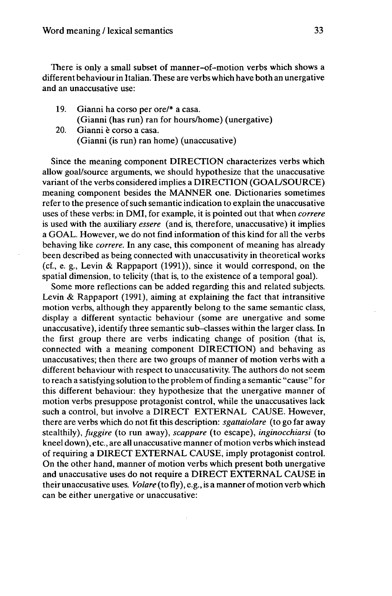There is only a small subset of manner-of-motion verbs which shows a different behaviour in Italian. These are verbs which have both an unergative and an unaccusative use:

- 19. Gianni ha corso per ore/\* a casa. (Gianni (has run) ran for hours/home) (unergative)
- 20. Gianni è corso a casa. (Gianni (is run) ran home) (unaccusative)

Since the meaning component DIRECTION characterizes verbs which allow goal/source arguments, we should hypothesize that the unaccusative variant of the verbs considered implies a DIRECTION (GOAL/SOURCE) meaning component besides the MANNER one. Dictionaries sometimes refer to the presence of such semantic indication to explain the unaccusative uses of these verbs: in DMI, for example, it is pointed out that when *correre* is used with the auxiliary *essere* (and is, therefore, unaccusative) it implies a GOAL. However, we do not find information of this kind for all the verbs behaving like *correre.* In any case, this component of meaning has already been described as being connected with unaccusativity in theoretical works (cf., e. g., Levin & Rappaport (1991)), since it would correspond, on the spatial dimension, to telicity (that is, to the existence of a temporal goal).

Some more reflections can be added regarding this and related subjects. Levin & Rappaport (1991), aiming at explaining the fact that intransitive motion verbs, although they apparently belong to the same semantic class, display a different syntactic behaviour (some are unergative and some unaccusative), identify three semantic sub-classes within the larger class. In the first group there are verbs indicating change of position (that is, connected with a meaning component DIRECTION) and behaving as unaccusatives; then there are two groups of manner of motion verbs with a different behaviour with respect to unaccusativity. The authors do not seem to reach a satisfying solution to the problem of finding a semantic "cause" for this different behaviour: they hypothesize that the unergative manner of motion verbs presuppose protagonist control, while the unaccusatives lack such a control, but involve a DIRECT EXTERNAL CAUSE. However, there are verbs which do not fit this description: *sgattaiolare* (to go far away stealthily), *fuggire* (to run away), *scappare* (to escape), *inginocchiarsi* (to kneel down), etc., are all unaccusative manner of motion verbs which instead of requiring a DIRECT EXTERNAL CAUSE, imply protagonist control. On the other hand, manner of motion verbs which present both unergative and unaccusative uses do not require a DIRECT EXTERNAL CAUSE in their unaccusative uses. *Volare* (to fly), e.g., is a manner of motion verb which can be either unergative or unaccusative: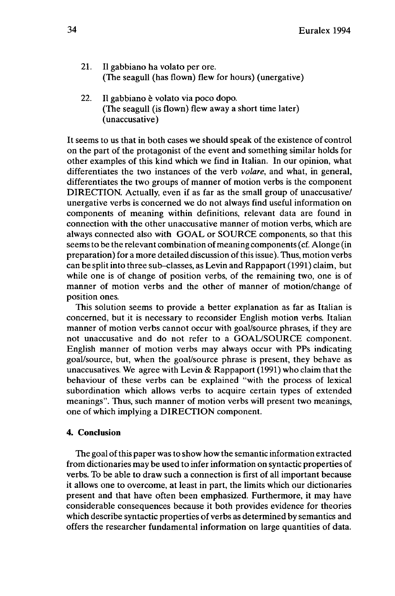- 21. Il gabbiano ha volato per ore. (The seagull (has flown) flew for hours) (unergative)
- 22. II gabbiano è volato via poco dopo. (The seagull (is flown) flew away a short time later) (unaccusative)

It seems to us that in both cases we should speak of the existence of control on the part of the protagonist of the event and something similar holds for other examples of this kind which we find in Italian. In our opinion, what differentiates the two instances of the verb *volare,* and what, in general, differentiates the two groups of manner of motion verbs is the component DIRECTION. Actually, even if as far as the small group of unaccusative/ unergative verbs is concerned we do not always find useful information on components of meaning within definitions, relevant data are found in connection with the other unaccusative manner of motion verbs, which are always connected also with GOAL or SOURCE components, so that this seems to be the relevant combination of meaning components (cf. Alonge (in preparation) for a more detailed discussion of this issue). Thus, motion verbs can be split into three sub-classes, as Levin and Rappaport (1991) claim, but while one is of change of position verbs, of the remaining two, one is of manner of motion verbs and the other of manner of motion/change of position ones.

This solution seems to provide a better explanation as far as Italian is concerned, but it is necessary to reconsider English motion verbs. Italian manner of motion verbs cannot occur with goal/source phrases, if they are not unaccusative and do not refer to a GOAL/SOURCE component. English manner of motion verbs may always occur with PPs indicating goal/source, but, when the goal/source phrase is present, they behave as unaccusatives. We agree with Levin & Rappaport (1991) who claim that the behaviour of these verbs can be explained "with the process of lexical subordination which allows verbs to acquire certain types of extended meanings". Thus, such manner of motion verbs will present two meanings, one of which implying a DIRECTION component.

## **4. Conclusion**

The goal of this paper was to show how the semantic information extracted from dictionaries may be used to infer information on syntactic properties of verbs. To be able to draw such a connection is first of all important because it allows one to overcome, at least in part, the limits which our dictionaries present and that have often been emphasized. Furthermore, it may have considerable consequences because it both provides evidence for theories which describe syntactic properties of verbs as determined by semantics and offers the researcher fundamental information on large quantities of data.